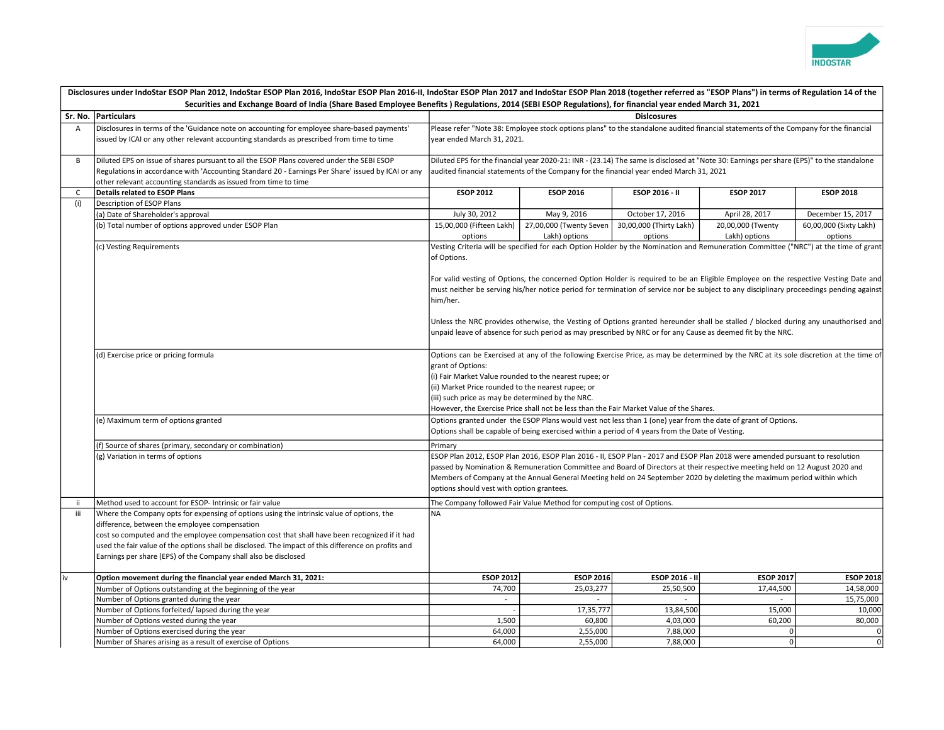

| Disclosures under IndoStar ESOP Plan 2012, IndoStar ESOP Plan 2016, IndoStar ESOP Plan 2016-II, IndoStar ESOP Plan 2017 and IndoStar ESOP Plan 2018 (together referred as "ESOP Plans") in terms of Regulation 14 of the<br>Securities and Exchange Board of India (Share Based Employee Benefits) Regulations, 2014 (SEBI ESOP Regulations), for financial year ended March 31, 2021 |                                                                                                                                                                                                                                                                                                                                                                                                                       |                                                                                                                                                                                                                                                                                                                                                                                                                                                                                                                                                                                                                                                                                                                                                                                                                                                                                                                                                                                                                                                                                                                                                                                                                                                                                                                                                                                                                                                                                                      |                                          |                                    |                                    |                                   |  |  |
|---------------------------------------------------------------------------------------------------------------------------------------------------------------------------------------------------------------------------------------------------------------------------------------------------------------------------------------------------------------------------------------|-----------------------------------------------------------------------------------------------------------------------------------------------------------------------------------------------------------------------------------------------------------------------------------------------------------------------------------------------------------------------------------------------------------------------|------------------------------------------------------------------------------------------------------------------------------------------------------------------------------------------------------------------------------------------------------------------------------------------------------------------------------------------------------------------------------------------------------------------------------------------------------------------------------------------------------------------------------------------------------------------------------------------------------------------------------------------------------------------------------------------------------------------------------------------------------------------------------------------------------------------------------------------------------------------------------------------------------------------------------------------------------------------------------------------------------------------------------------------------------------------------------------------------------------------------------------------------------------------------------------------------------------------------------------------------------------------------------------------------------------------------------------------------------------------------------------------------------------------------------------------------------------------------------------------------------|------------------------------------------|------------------------------------|------------------------------------|-----------------------------------|--|--|
| Sr. No. Particulars                                                                                                                                                                                                                                                                                                                                                                   |                                                                                                                                                                                                                                                                                                                                                                                                                       | <b>Dislcosures</b>                                                                                                                                                                                                                                                                                                                                                                                                                                                                                                                                                                                                                                                                                                                                                                                                                                                                                                                                                                                                                                                                                                                                                                                                                                                                                                                                                                                                                                                                                   |                                          |                                    |                                    |                                   |  |  |
| $\overline{A}$                                                                                                                                                                                                                                                                                                                                                                        | Disclosures in terms of the 'Guidance note on accounting for employee share-based payments'                                                                                                                                                                                                                                                                                                                           |                                                                                                                                                                                                                                                                                                                                                                                                                                                                                                                                                                                                                                                                                                                                                                                                                                                                                                                                                                                                                                                                                                                                                                                                                                                                                                                                                                                                                                                                                                      |                                          |                                    |                                    |                                   |  |  |
|                                                                                                                                                                                                                                                                                                                                                                                       | issued by ICAI or any other relevant accounting standards as prescribed from time to time                                                                                                                                                                                                                                                                                                                             | Please refer "Note 38: Employee stock options plans" to the standalone audited financial statements of the Company for the financial<br>year ended March 31, 2021.                                                                                                                                                                                                                                                                                                                                                                                                                                                                                                                                                                                                                                                                                                                                                                                                                                                                                                                                                                                                                                                                                                                                                                                                                                                                                                                                   |                                          |                                    |                                    |                                   |  |  |
| B                                                                                                                                                                                                                                                                                                                                                                                     | Diluted EPS on issue of shares pursuant to all the ESOP Plans covered under the SEBI ESOP<br>Regulations in accordance with 'Accounting Standard 20 - Earnings Per Share' issued by ICAI or any<br>other relevant accounting standards as issued from time to time                                                                                                                                                    | Diluted EPS for the financial year 2020-21: INR - (23.14) The same is disclosed at "Note 30: Earnings per share (EPS)" to the standalone<br>audited financial statements of the Company for the financial year ended March 31, 2021                                                                                                                                                                                                                                                                                                                                                                                                                                                                                                                                                                                                                                                                                                                                                                                                                                                                                                                                                                                                                                                                                                                                                                                                                                                                  |                                          |                                    |                                    |                                   |  |  |
| C                                                                                                                                                                                                                                                                                                                                                                                     | Details related to ESOP Plans                                                                                                                                                                                                                                                                                                                                                                                         | <b>ESOP 2012</b>                                                                                                                                                                                                                                                                                                                                                                                                                                                                                                                                                                                                                                                                                                                                                                                                                                                                                                                                                                                                                                                                                                                                                                                                                                                                                                                                                                                                                                                                                     | <b>ESOP 2016</b>                         | ESOP 2016 - II                     | <b>ESOP 2017</b>                   | <b>ESOP 2018</b>                  |  |  |
| (i)                                                                                                                                                                                                                                                                                                                                                                                   | Description of ESOP Plans                                                                                                                                                                                                                                                                                                                                                                                             |                                                                                                                                                                                                                                                                                                                                                                                                                                                                                                                                                                                                                                                                                                                                                                                                                                                                                                                                                                                                                                                                                                                                                                                                                                                                                                                                                                                                                                                                                                      |                                          |                                    |                                    |                                   |  |  |
|                                                                                                                                                                                                                                                                                                                                                                                       | (a) Date of Shareholder's approval                                                                                                                                                                                                                                                                                                                                                                                    | July 30, 2012                                                                                                                                                                                                                                                                                                                                                                                                                                                                                                                                                                                                                                                                                                                                                                                                                                                                                                                                                                                                                                                                                                                                                                                                                                                                                                                                                                                                                                                                                        | May 9, 2016                              | October 17, 2016                   | April 28, 2017                     | December 15, 2017                 |  |  |
|                                                                                                                                                                                                                                                                                                                                                                                       | (b) Total number of options approved under ESOP Plan                                                                                                                                                                                                                                                                                                                                                                  | 15,00,000 (Fifteen Lakh)<br>options                                                                                                                                                                                                                                                                                                                                                                                                                                                                                                                                                                                                                                                                                                                                                                                                                                                                                                                                                                                                                                                                                                                                                                                                                                                                                                                                                                                                                                                                  | 27,00,000 (Twenty Seven<br>Lakh) options | 30,00,000 (Thirty Lakh)<br>options | 20,00,000 (Twenty<br>Lakh) options | 60,00,000 (Sixty Lakh)<br>options |  |  |
|                                                                                                                                                                                                                                                                                                                                                                                       | (c) Vesting Requirements<br>(d) Exercise price or pricing formula<br>(e) Maximum term of options granted<br>(f) Source of shares (primary, secondary or combination)<br>(g) Variation in terms of options                                                                                                                                                                                                             | Vesting Criteria will be specified for each Option Holder by the Nomination and Remuneration Committee ("NRC") at the time of grant<br>of Options.<br>For valid vesting of Options, the concerned Option Holder is required to be an Eligible Employee on the respective Vesting Date and<br>must neither be serving his/her notice period for termination of service nor be subject to any disciplinary proceedings pending against<br>him/her.<br>Unless the NRC provides otherwise, the Vesting of Options granted hereunder shall be stalled / blocked during any unauthorised and<br>unpaid leave of absence for such period as may prescribed by NRC or for any Cause as deemed fit by the NRC.<br>Options can be Exercised at any of the following Exercise Price, as may be determined by the NRC at its sole discretion at the time of<br>grant of Options:<br>(i) Fair Market Value rounded to the nearest rupee; or<br>(ii) Market Price rounded to the nearest rupee; or<br>(iii) such price as may be determined by the NRC.<br>However, the Exercise Price shall not be less than the Fair Market Value of the Shares.<br>Options granted under the ESOP Plans would vest not less than 1 (one) year from the date of grant of Options.<br>Options shall be capable of being exercised within a period of 4 years from the Date of Vesting.<br>Primary<br>ESOP Plan 2012, ESOP Plan 2016, ESOP Plan 2016 - II, ESOP Plan - 2017 and ESOP Plan 2018 were amended pursuant to resolution |                                          |                                    |                                    |                                   |  |  |
|                                                                                                                                                                                                                                                                                                                                                                                       |                                                                                                                                                                                                                                                                                                                                                                                                                       | passed by Nomination & Remuneration Committee and Board of Directors at their respective meeting held on 12 August 2020 and<br>Members of Company at the Annual General Meeting held on 24 September 2020 by deleting the maximum period within which<br>options should vest with option grantees.                                                                                                                                                                                                                                                                                                                                                                                                                                                                                                                                                                                                                                                                                                                                                                                                                                                                                                                                                                                                                                                                                                                                                                                                   |                                          |                                    |                                    |                                   |  |  |
| -ii                                                                                                                                                                                                                                                                                                                                                                                   | Method used to account for ESOP- Intrinsic or fair value                                                                                                                                                                                                                                                                                                                                                              | The Company followed Fair Value Method for computing cost of Options.                                                                                                                                                                                                                                                                                                                                                                                                                                                                                                                                                                                                                                                                                                                                                                                                                                                                                                                                                                                                                                                                                                                                                                                                                                                                                                                                                                                                                                |                                          |                                    |                                    |                                   |  |  |
| iii                                                                                                                                                                                                                                                                                                                                                                                   | Where the Company opts for expensing of options using the intrinsic value of options, the<br>difference, between the employee compensation<br>cost so computed and the employee compensation cost that shall have been recognized if it had<br>used the fair value of the options shall be disclosed. The impact of this difference on profits and<br>Earnings per share (EPS) of the Company shall also be disclosed | <b>NA</b>                                                                                                                                                                                                                                                                                                                                                                                                                                                                                                                                                                                                                                                                                                                                                                                                                                                                                                                                                                                                                                                                                                                                                                                                                                                                                                                                                                                                                                                                                            |                                          |                                    |                                    |                                   |  |  |
| iv                                                                                                                                                                                                                                                                                                                                                                                    | Option movement during the financial year ended March 31, 2021:                                                                                                                                                                                                                                                                                                                                                       | <b>ESOP 2012</b>                                                                                                                                                                                                                                                                                                                                                                                                                                                                                                                                                                                                                                                                                                                                                                                                                                                                                                                                                                                                                                                                                                                                                                                                                                                                                                                                                                                                                                                                                     | <b>ESOP 2016</b>                         | ESOP 2016 - II                     | <b>ESOP 2017</b>                   | <b>ESOP 2018</b>                  |  |  |
|                                                                                                                                                                                                                                                                                                                                                                                       | Number of Options outstanding at the beginning of the year                                                                                                                                                                                                                                                                                                                                                            | 74,700                                                                                                                                                                                                                                                                                                                                                                                                                                                                                                                                                                                                                                                                                                                                                                                                                                                                                                                                                                                                                                                                                                                                                                                                                                                                                                                                                                                                                                                                                               | 25,03,277                                | 25,50,500                          | 17,44,500                          | 14,58,000                         |  |  |
|                                                                                                                                                                                                                                                                                                                                                                                       | Number of Options granted during the year                                                                                                                                                                                                                                                                                                                                                                             | $\sim$                                                                                                                                                                                                                                                                                                                                                                                                                                                                                                                                                                                                                                                                                                                                                                                                                                                                                                                                                                                                                                                                                                                                                                                                                                                                                                                                                                                                                                                                                               | $\sim$                                   | $\sim$                             | $\sim$                             | 15,75,000                         |  |  |
|                                                                                                                                                                                                                                                                                                                                                                                       | Number of Options forfeited/ lapsed during the year                                                                                                                                                                                                                                                                                                                                                                   |                                                                                                                                                                                                                                                                                                                                                                                                                                                                                                                                                                                                                                                                                                                                                                                                                                                                                                                                                                                                                                                                                                                                                                                                                                                                                                                                                                                                                                                                                                      | 17,35,777                                | 13,84,500                          | 15,000                             | 10,000                            |  |  |
|                                                                                                                                                                                                                                                                                                                                                                                       | Number of Options vested during the year                                                                                                                                                                                                                                                                                                                                                                              | 1,500                                                                                                                                                                                                                                                                                                                                                                                                                                                                                                                                                                                                                                                                                                                                                                                                                                                                                                                                                                                                                                                                                                                                                                                                                                                                                                                                                                                                                                                                                                | 60,800                                   | 4,03,000                           | 60,200                             | 80,000                            |  |  |
|                                                                                                                                                                                                                                                                                                                                                                                       | Number of Options exercised during the year                                                                                                                                                                                                                                                                                                                                                                           | 64,000                                                                                                                                                                                                                                                                                                                                                                                                                                                                                                                                                                                                                                                                                                                                                                                                                                                                                                                                                                                                                                                                                                                                                                                                                                                                                                                                                                                                                                                                                               | 2,55,000                                 | 7,88,000                           | $\overline{0}$                     | $\overline{0}$                    |  |  |
|                                                                                                                                                                                                                                                                                                                                                                                       | Number of Shares arising as a result of exercise of Options                                                                                                                                                                                                                                                                                                                                                           | 64,000                                                                                                                                                                                                                                                                                                                                                                                                                                                                                                                                                                                                                                                                                                                                                                                                                                                                                                                                                                                                                                                                                                                                                                                                                                                                                                                                                                                                                                                                                               | 2,55,000                                 | 7,88,000                           | $\circ$                            | $\overline{0}$                    |  |  |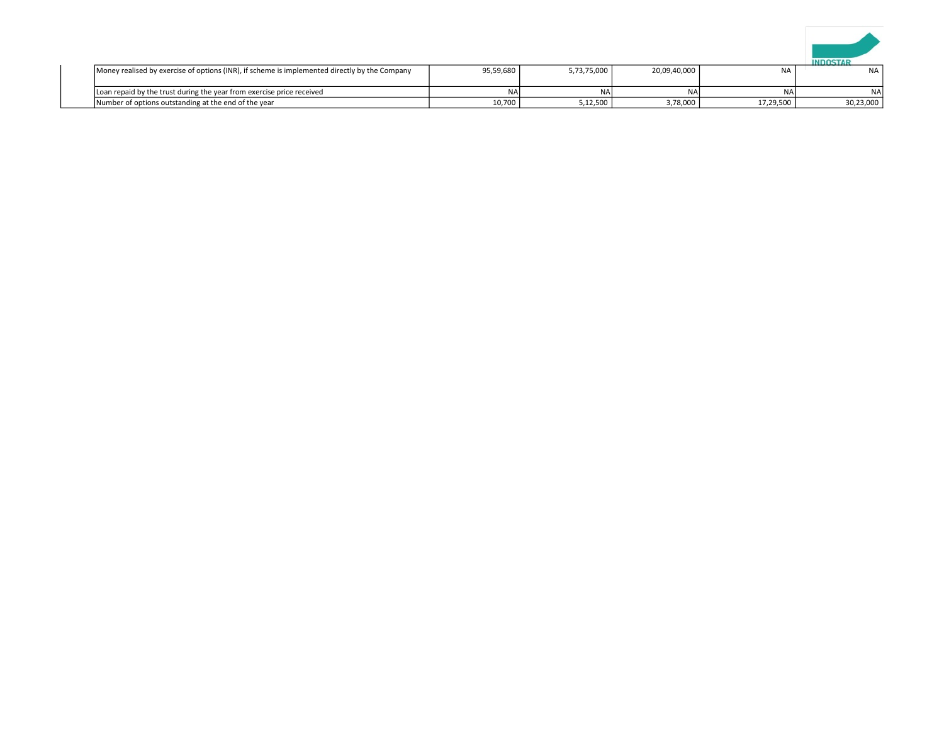

| Money realised by exercise of options (INR), if scheme is implemented directly by the Company | 95,59,680 | 5.73.75.000 | 20,09,40,000 | <b>NA</b> | <b>NA</b> |
|-----------------------------------------------------------------------------------------------|-----------|-------------|--------------|-----------|-----------|
| Loan repaid by the trust during the year from exercise price received                         | NA        | ΝA          | <b>NA</b>    | <b>NA</b> | <b>NA</b> |
| Number of options outstanding at the end of the year                                          | 10,700    | 5,12,500    | 3,78,000     | 17,29,500 | 30,23,000 |